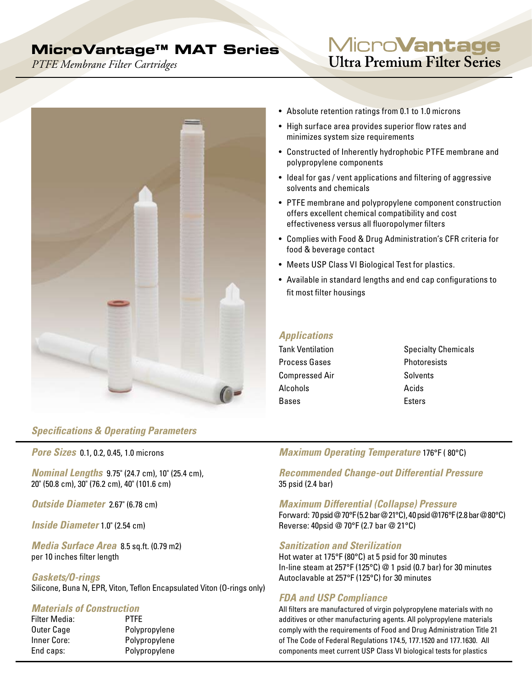## **MicroVantage™ MAT Series**

*PTFE Membrane Filter Cartridges*

# Micro**Vantage Ultra Premium Filter Series**



## *Specifications & Operating Parameters*

*Pore Sizes* 0.1, 0.2, 0.45, 1.0 microns

*Nominal Lengths* 9.75" (24.7 cm), 10" (25.4 cm), 20" (50.8 cm), 30" (76.2 cm), 40" (101.6 cm)

*Outside Diameter* 2.67" (6.78 cm)

*Inside Diameter* 1.0" (2.54 cm)

*Media Surface Area* 8.5 sq.ft. (0.79 m2) per 10 inches filter length

*Gaskets/O-rings* Silicone, Buna N, EPR, Viton, Teflon Encapsulated Viton (O-rings only)

#### *Materials of Construction*

| <b>PTFE</b>   |
|---------------|
| Polypropylene |
| Polypropylene |
| Polypropylene |
|               |

- Absolute retention ratings from 0.1 to 1.0 microns
- High surface area provides superior flow rates and minimizes system size requirements
- Constructed of Inherently hydrophobic PTFE membrane and polypropylene components
- Ideal for gas / vent applications and filtering of aggressive solvents and chemicals
- PTFE membrane and polypropylene component construction offers excellent chemical compatibility and cost effectiveness versus all fluoropolymer filters
- Complies with Food & Drug Administration's CFR criteria for food & beverage contact
- Meets USP Class VI Biological Test for plastics.
- Available in standard lengths and end cap configurations to fit most filter housings

## *Applications*

- Process Gases **Photoresists** Compressed Air Solvents Alcohols Acids Bases **Esters**
- Tank Ventilation Specialty Chemicals

## *Maximum Operating Temperature* 176°F ( 80°C)

*Recommended Change-out Differential Pressure*  35 psid (2.4 bar)

#### *Maximum Differential (Collapse) Pressure*

Forward: 70 psid @ 70°F (5.2 bar @ 21°C), 40 psid @176°F (2.8 bar @ 80°C) Reverse: 40psid @ 70°F (2.7 bar @ 21°C)

#### *Sanitization and Sterilization*

Hot water at 175°F (80°C) at 5 psid for 30 minutes In-line steam at 257°F (125°C) @ 1 psid (0.7 bar) for 30 minutes Autoclavable at 257°F (125°C) for 30 minutes

## *FDA and USP Compliance*

All filters are manufactured of virgin polypropylene materials with no additives or other manufacturing agents. All polypropylene materials comply with the requirements of Food and Drug Administration Title 21 of The Code of Federal Regulations 174.5, 177.1520 and 177.1630. All components meet current USP Class VI biological tests for plastics